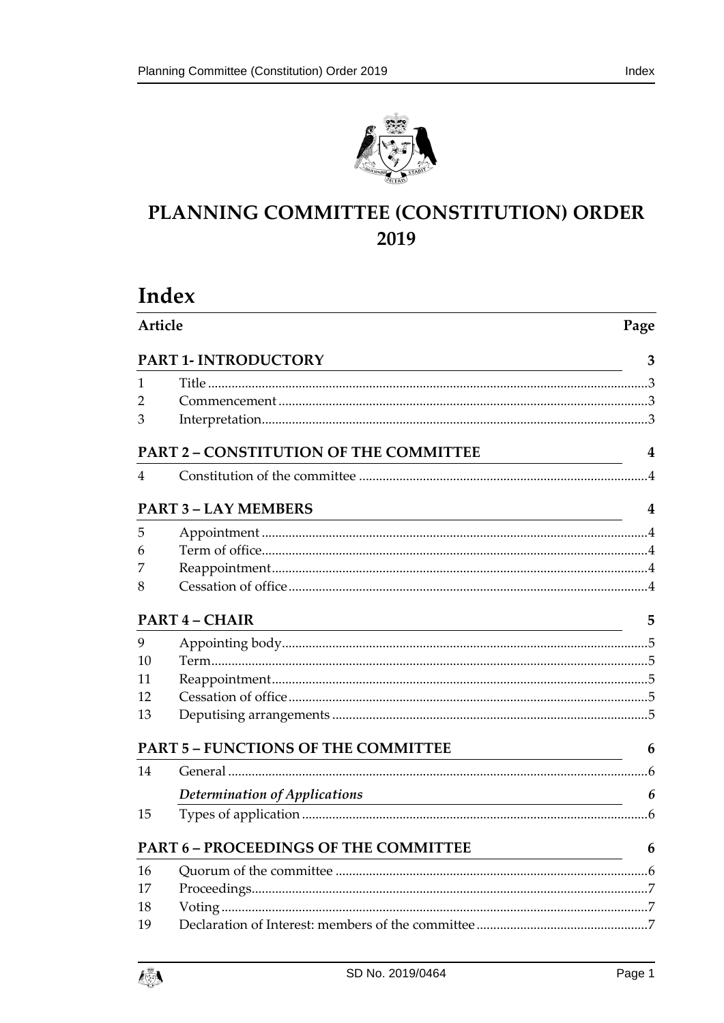



# PLANNING COMMITTEE (CONSTITUTION) ORDER 2019

# Index

| Article |                                                                                                                                                      | Page |
|---------|------------------------------------------------------------------------------------------------------------------------------------------------------|------|
|         | PART 1- INTRODUCTORY                                                                                                                                 | 3    |
| 1       |                                                                                                                                                      |      |
| 2       |                                                                                                                                                      |      |
| З       |                                                                                                                                                      |      |
|         | <b>PART 2 - CONSTITUTION OF THE COMMITTEE</b><br><u> 1989 - Johann Barn, mars an t-Amerikaansk kommunister (</u>                                     | 4    |
| 4       |                                                                                                                                                      |      |
|         | <b>PART 3 - LAY MEMBERS</b><br><u> 1980 - Johann Barbara, martin amerikan basar dan berasal dalam basar dalam basar dalam basar dalam basar dala</u> | 4    |
| 5       |                                                                                                                                                      |      |
| 6       |                                                                                                                                                      |      |
| 7       |                                                                                                                                                      |      |
| 8       |                                                                                                                                                      |      |
|         | PART 4 - CHAIR                                                                                                                                       | 5    |
| 9       |                                                                                                                                                      |      |
| 10      |                                                                                                                                                      |      |
| 11      |                                                                                                                                                      |      |
| 12      |                                                                                                                                                      |      |
| 13      |                                                                                                                                                      |      |
|         | <b>PART 5 - FUNCTIONS OF THE COMMITTEE</b>                                                                                                           | 6    |
| 14      |                                                                                                                                                      |      |
|         | Determination of Applications                                                                                                                        | 6    |
| 15      |                                                                                                                                                      |      |
|         | PART 6 - PROCEEDINGS OF THE COMMITTEE                                                                                                                | 6    |
| 16      |                                                                                                                                                      |      |
| 17      |                                                                                                                                                      |      |
| 18      |                                                                                                                                                      |      |
| 19      |                                                                                                                                                      |      |

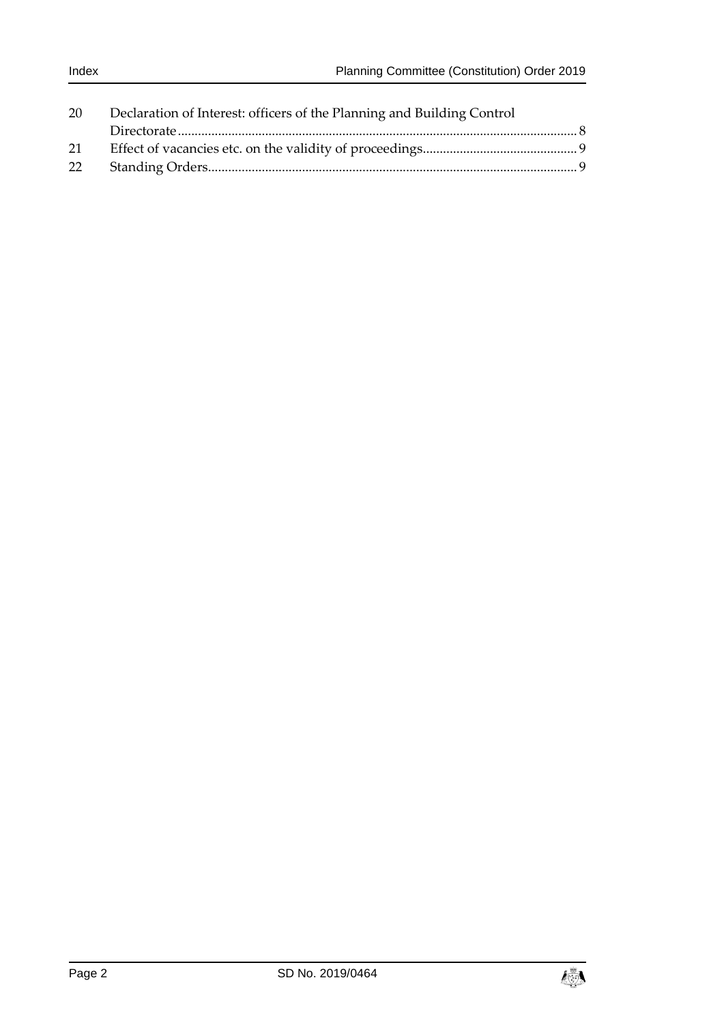| 20 | Declaration of Interest: officers of the Planning and Building Control |  |
|----|------------------------------------------------------------------------|--|
|    |                                                                        |  |
| 21 |                                                                        |  |
| 22 |                                                                        |  |

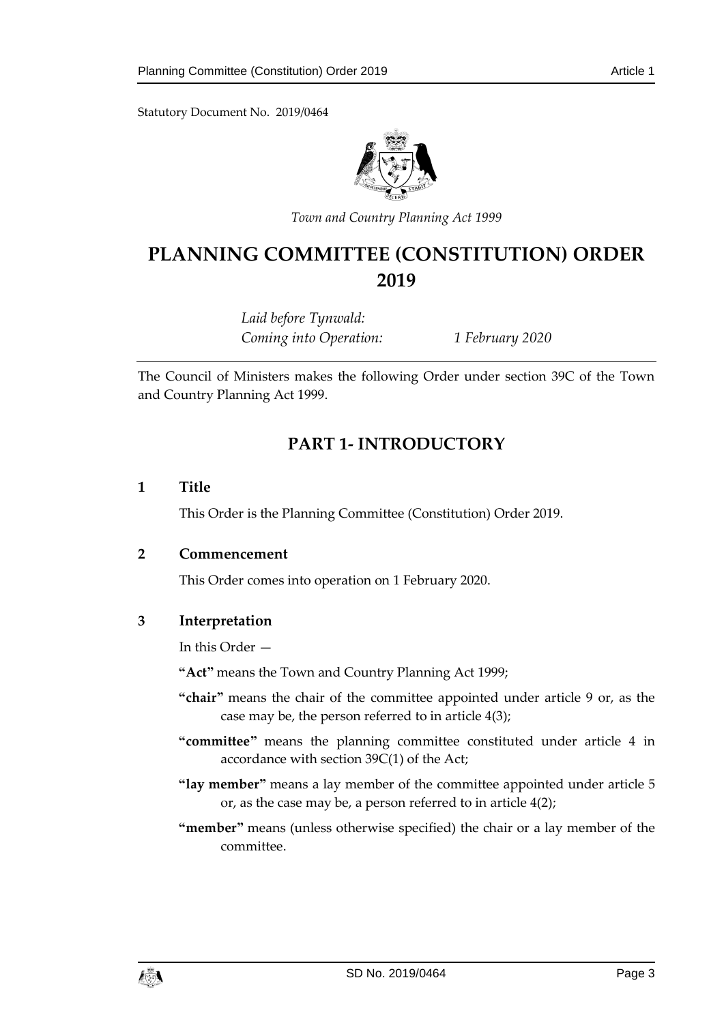Statutory Document No. 2019/0464



*Town and Country Planning Act 1999*

# **PLANNING COMMITTEE (CONSTITUTION) ORDER 2019**

*Laid before Tynwald: Coming into Operation: 1 February 2020*

<span id="page-2-0"></span>The Council of Ministers makes the following Order under section 39C of the Town and Country Planning Act 1999.

# **PART 1- INTRODUCTORY**

#### <span id="page-2-1"></span>**1 Title**

This Order is the Planning Committee (Constitution) Order 2019.

#### <span id="page-2-2"></span>**2 Commencement**

This Order comes into operation on 1 February 2020.

## <span id="page-2-3"></span>**3 Interpretation**

In this Order —

**"Act"** means the Town and Country Planning Act 1999;

- **"chair"** means the chair of the committee appointed under article 9 or, as the case may be, the person referred to in article 4(3);
- **"committee"** means the planning committee constituted under article 4 in accordance with section 39C(1) of the Act;
- **"lay member"** means a lay member of the committee appointed under article 5 or, as the case may be, a person referred to in article 4(2);
- **"member"** means (unless otherwise specified) the chair or a lay member of the committee.

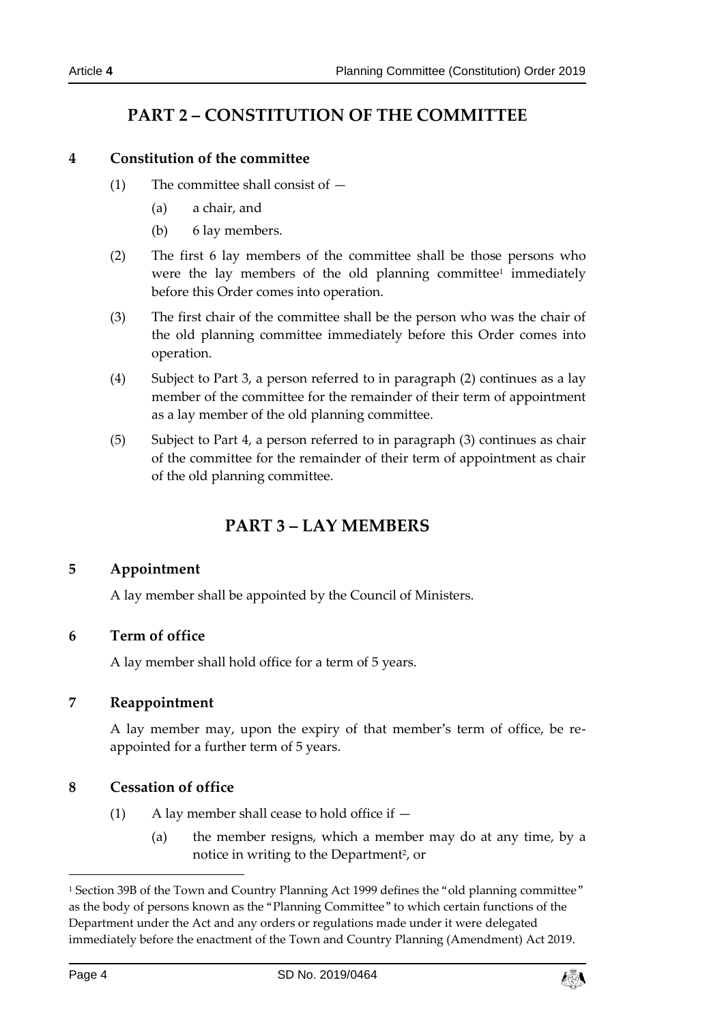# **PART 2 – CONSTITUTION OF THE COMMITTEE**

## <span id="page-3-1"></span><span id="page-3-0"></span>**4 Constitution of the committee**

- (1) The committee shall consist of  $-$ 
	- (a) a chair, and
	- (b) 6 lay members.
- (2) The first 6 lay members of the committee shall be those persons who were the lay members of the old planning committee<sup>1</sup> immediately before this Order comes into operation.
- (3) The first chair of the committee shall be the person who was the chair of the old planning committee immediately before this Order comes into operation.
- (4) Subject to Part 3, a person referred to in paragraph (2) continues as a lay member of the committee for the remainder of their term of appointment as a lay member of the old planning committee.
- <span id="page-3-2"></span>(5) Subject to Part 4, a person referred to in paragraph (3) continues as chair of the committee for the remainder of their term of appointment as chair of the old planning committee.

# **PART 3 – LAY MEMBERS**

## <span id="page-3-3"></span>**5 Appointment**

A lay member shall be appointed by the Council of Ministers.

## <span id="page-3-4"></span>**6 Term of office**

A lay member shall hold office for a term of 5 years.

## <span id="page-3-5"></span>**7 Reappointment**

A lay member may, upon the expiry of that member's term of office, be reappointed for a further term of 5 years.

## <span id="page-3-6"></span>**8 Cessation of office**

- (1) A lay member shall cease to hold office if  $-$ 
	- (a) the member resigns, which a member may do at any time, by a notice in writing to the Department<sup>2</sup>, or

-



<sup>&</sup>lt;sup>1</sup> Section 39B of the Town and Country Planning Act 1999 defines the "old planning committee" as the body of persons known as the "Planning Committee" to which certain functions of the Department under the Act and any orders or regulations made under it were delegated immediately before the enactment of the Town and Country Planning (Amendment) Act 2019.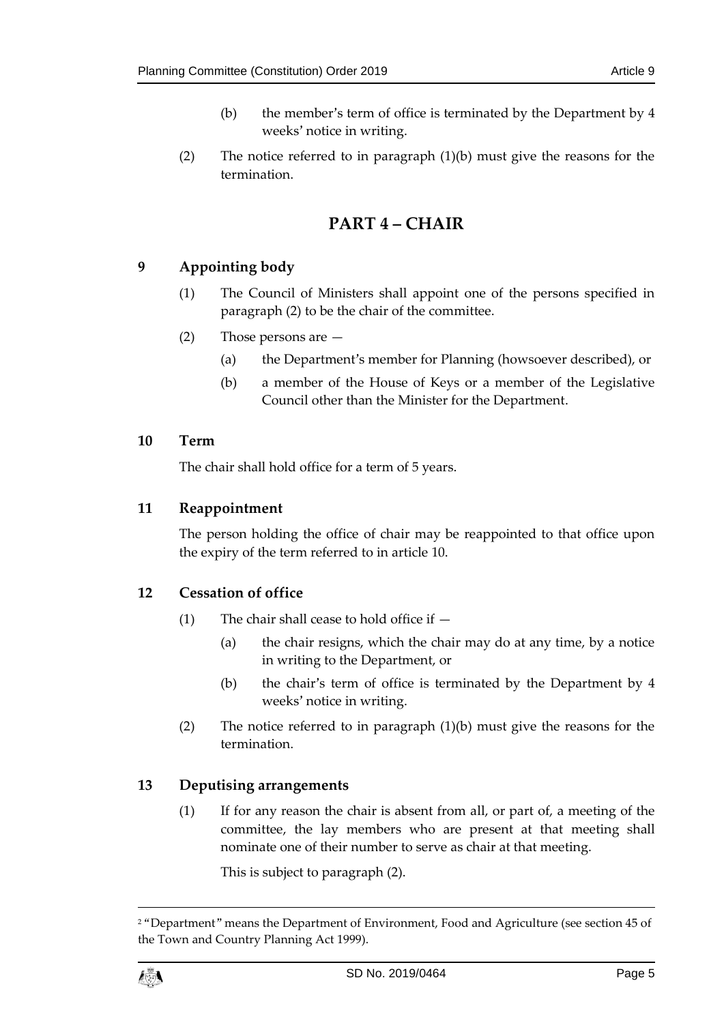- (b) the member's term of office is terminated by the Department by 4 weeks' notice in writing.
- <span id="page-4-0"></span>(2) The notice referred to in paragraph  $(1)(b)$  must give the reasons for the termination.

# **PART 4 – CHAIR**

## <span id="page-4-1"></span>**9 Appointing body**

- (1) The Council of Ministers shall appoint one of the persons specified in paragraph (2) to be the chair of the committee.
- (2) Those persons are
	- (a) the Department's member for Planning (howsoever described), or
	- (b) a member of the House of Keys or a member of the Legislative Council other than the Minister for the Department.

## <span id="page-4-2"></span>**10 Term**

The chair shall hold office for a term of 5 years.

## <span id="page-4-3"></span>**11 Reappointment**

The person holding the office of chair may be reappointed to that office upon the expiry of the term referred to in article 10.

## <span id="page-4-4"></span>**12 Cessation of office**

- (1) The chair shall cease to hold office if
	- (a) the chair resigns, which the chair may do at any time, by a notice in writing to the Department, or
	- (b) the chair's term of office is terminated by the Department by 4 weeks' notice in writing.
- (2) The notice referred to in paragraph  $(1)(b)$  must give the reasons for the termination.

## <span id="page-4-5"></span>**13 Deputising arrangements**

(1) If for any reason the chair is absent from all, or part of, a meeting of the committee, the lay members who are present at that meeting shall nominate one of their number to serve as chair at that meeting.

This is subject to paragraph (2).

<sup>2</sup> "Department" means the Department of Environment, Food and Agriculture (see section 45 of the Town and Country Planning Act 1999).



 $\overline{a}$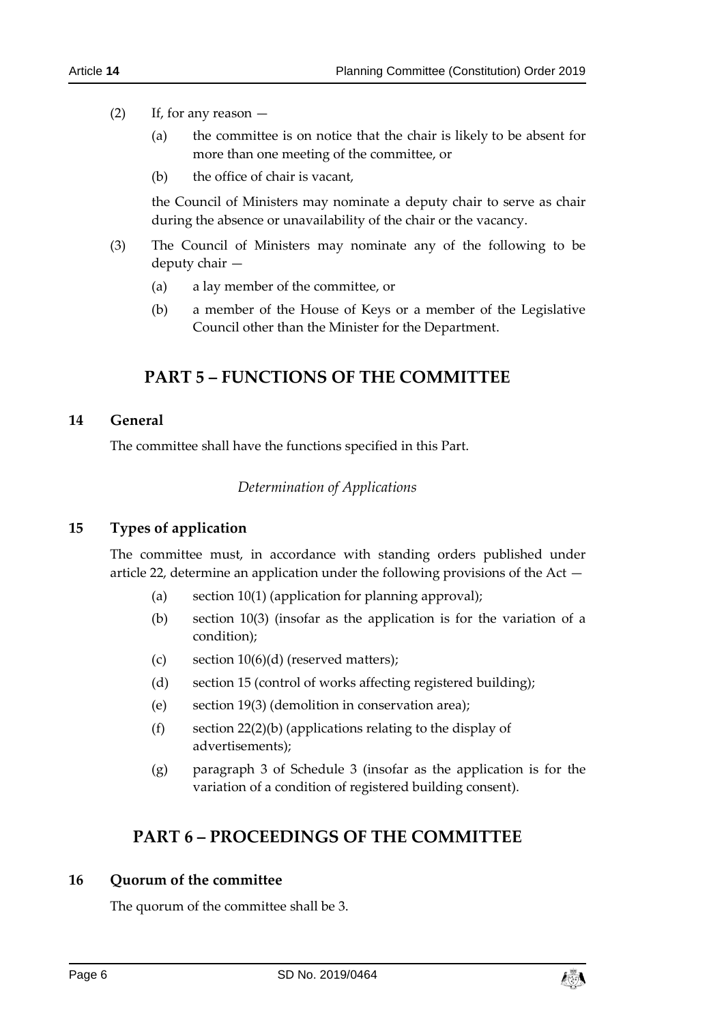#### (2) If, for any reason —

- (a) the committee is on notice that the chair is likely to be absent for more than one meeting of the committee, or
- (b) the office of chair is vacant,

the Council of Ministers may nominate a deputy chair to serve as chair during the absence or unavailability of the chair or the vacancy.

- (3) The Council of Ministers may nominate any of the following to be deputy chair —
	- (a) a lay member of the committee, or
	- (b) a member of the House of Keys or a member of the Legislative Council other than the Minister for the Department.

## **PART 5 – FUNCTIONS OF THE COMMITTEE**

## <span id="page-5-2"></span><span id="page-5-1"></span><span id="page-5-0"></span>**14 General**

The committee shall have the functions specified in this Part.

#### *Determination of Applications*

#### <span id="page-5-3"></span>**15 Types of application**

The committee must, in accordance with standing orders published under article 22, determine an application under the following provisions of the Act —

- (a) section  $10(1)$  (application for planning approval);
- (b) section 10(3) (insofar as the application is for the variation of a condition);
- (c) section  $10(6)(d)$  (reserved matters);
- (d) section 15 (control of works affecting registered building);
- (e) section 19(3) (demolition in conservation area);
- (f) section 22(2)(b) (applications relating to the display of advertisements);
- (g) paragraph 3 of Schedule 3 (insofar as the application is for the variation of a condition of registered building consent).

# <span id="page-5-4"></span>**PART 6 – PROCEEDINGS OF THE COMMITTEE**

#### <span id="page-5-5"></span>**16 Quorum of the committee**

The quorum of the committee shall be 3.

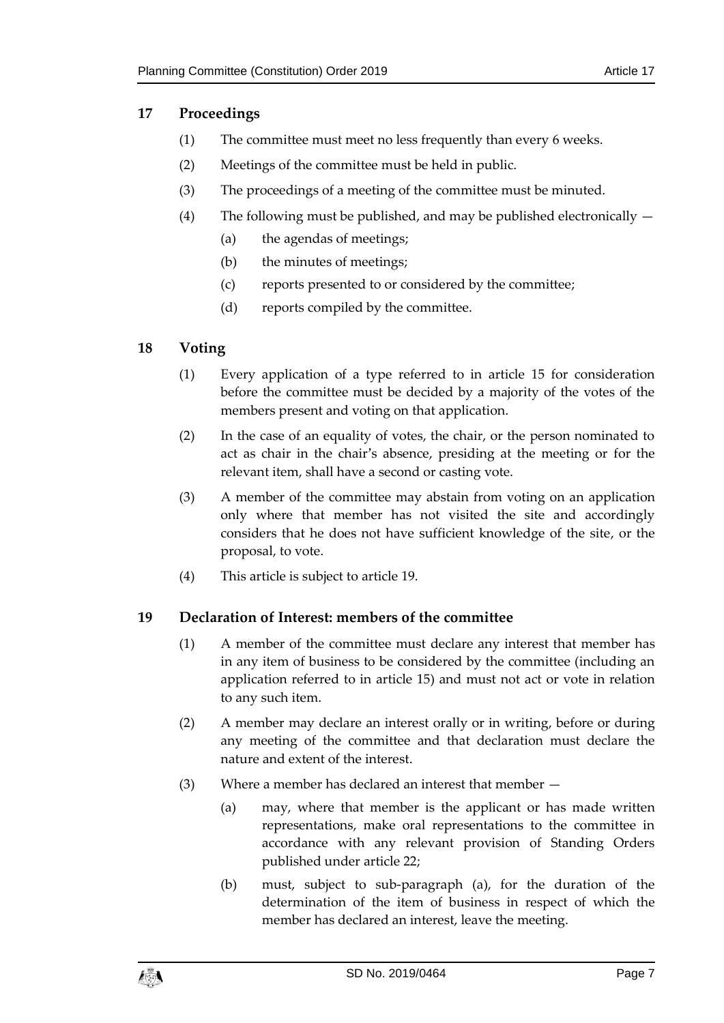## <span id="page-6-0"></span>**17 Proceedings**

- (1) The committee must meet no less frequently than every 6 weeks.
- (2) Meetings of the committee must be held in public.
- (3) The proceedings of a meeting of the committee must be minuted.
- (4) The following must be published, and may be published electronically
	- (a) the agendas of meetings;
	- (b) the minutes of meetings;
	- (c) reports presented to or considered by the committee;
	- (d) reports compiled by the committee.

## <span id="page-6-1"></span>**18 Voting**

- (1) Every application of a type referred to in article 15 for consideration before the committee must be decided by a majority of the votes of the members present and voting on that application.
- (2) In the case of an equality of votes, the chair, or the person nominated to act as chair in the chair's absence, presiding at the meeting or for the relevant item, shall have a second or casting vote.
- (3) A member of the committee may abstain from voting on an application only where that member has not visited the site and accordingly considers that he does not have sufficient knowledge of the site, or the proposal, to vote.
- (4) This article is subject to article 19.

## <span id="page-6-2"></span>**19 Declaration of Interest: members of the committee**

- (1) A member of the committee must declare any interest that member has in any item of business to be considered by the committee (including an application referred to in article 15) and must not act or vote in relation to any such item.
- (2) A member may declare an interest orally or in writing, before or during any meeting of the committee and that declaration must declare the nature and extent of the interest.
- (3) Where a member has declared an interest that member
	- (a) may, where that member is the applicant or has made written representations, make oral representations to the committee in accordance with any relevant provision of Standing Orders published under article 22;
	- (b) must, subject to sub-paragraph (a), for the duration of the determination of the item of business in respect of which the member has declared an interest, leave the meeting.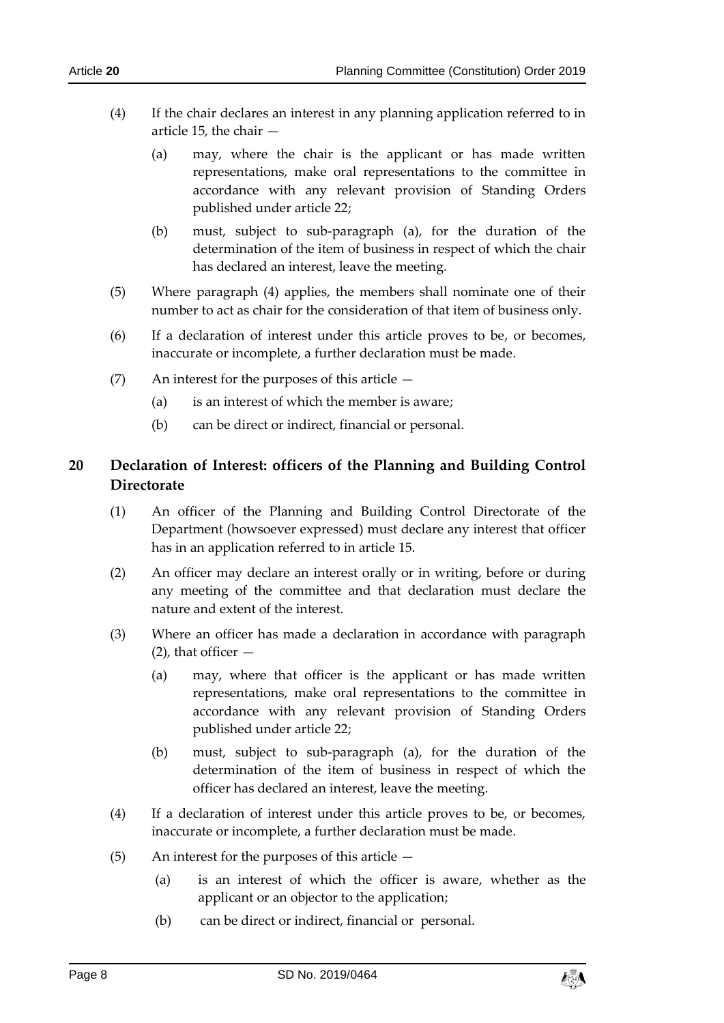- (4) If the chair declares an interest in any planning application referred to in article 15, the chair —
	- (a) may, where the chair is the applicant or has made written representations, make oral representations to the committee in accordance with any relevant provision of Standing Orders published under article 22;
	- (b) must, subject to sub-paragraph (a), for the duration of the determination of the item of business in respect of which the chair has declared an interest, leave the meeting.
- (5) Where paragraph (4) applies, the members shall nominate one of their number to act as chair for the consideration of that item of business only.
- (6) If a declaration of interest under this article proves to be, or becomes, inaccurate or incomplete, a further declaration must be made.
- (7) An interest for the purposes of this article
	- (a) is an interest of which the member is aware;
	- (b) can be direct or indirect, financial or personal.

## <span id="page-7-0"></span>**20 Declaration of Interest: officers of the Planning and Building Control Directorate**

- (1) An officer of the Planning and Building Control Directorate of the Department (howsoever expressed) must declare any interest that officer has in an application referred to in article 15.
- (2) An officer may declare an interest orally or in writing, before or during any meeting of the committee and that declaration must declare the nature and extent of the interest.
- (3) Where an officer has made a declaration in accordance with paragraph  $(2)$ , that officer  $-$ 
	- (a) may, where that officer is the applicant or has made written representations, make oral representations to the committee in accordance with any relevant provision of Standing Orders published under article 22;
	- (b) must, subject to sub-paragraph (a), for the duration of the determination of the item of business in respect of which the officer has declared an interest, leave the meeting.
- (4) If a declaration of interest under this article proves to be, or becomes, inaccurate or incomplete, a further declaration must be made.
- (5) An interest for the purposes of this article
	- (a) is an interest of which the officer is aware, whether as the applicant or an objector to the application;
	- (b) can be direct or indirect, financial or personal.

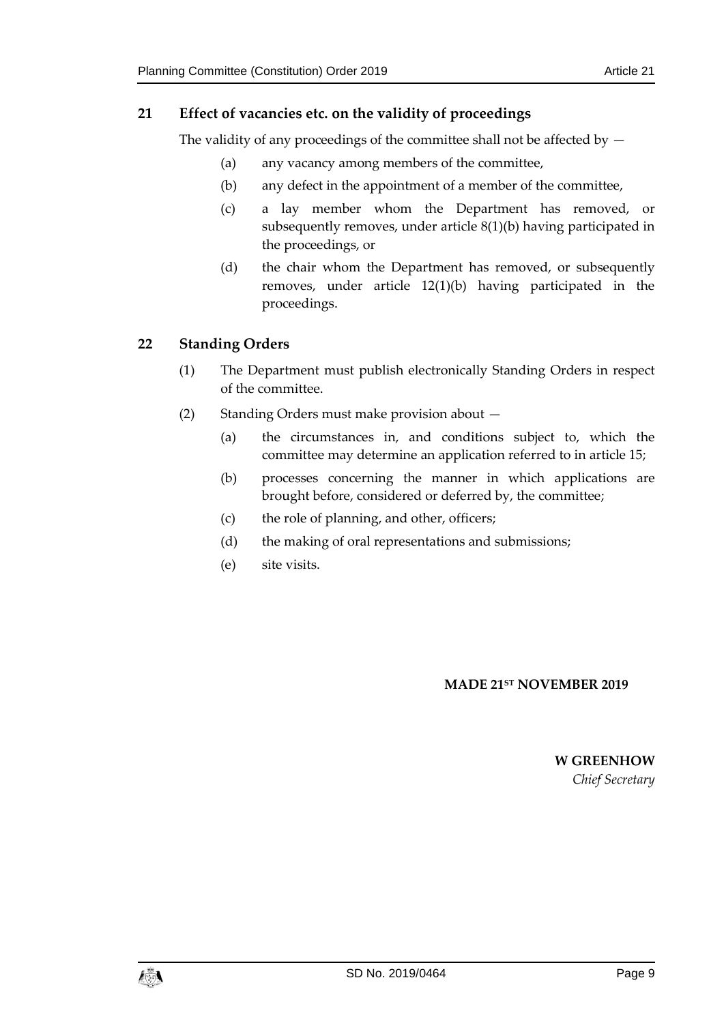## <span id="page-8-0"></span>**21 Effect of vacancies etc. on the validity of proceedings**

The validity of any proceedings of the committee shall not be affected by  $-$ 

- (a) any vacancy among members of the committee,
- (b) any defect in the appointment of a member of the committee,
- (c) a lay member whom the Department has removed, or subsequently removes, under article 8(1)(b) having participated in the proceedings, or
- (d) the chair whom the Department has removed, or subsequently removes, under article 12(1)(b) having participated in the proceedings.

## <span id="page-8-1"></span>**22 Standing Orders**

- (1) The Department must publish electronically Standing Orders in respect of the committee.
- (2) Standing Orders must make provision about
	- (a) the circumstances in, and conditions subject to, which the committee may determine an application referred to in article 15;
	- (b) processes concerning the manner in which applications are brought before, considered or deferred by, the committee;
	- (c) the role of planning, and other, officers;
	- (d) the making of oral representations and submissions;
	- (e) site visits.

#### **MADE 21ST NOVEMBER 2019**

**W GREENHOW** *Chief Secretary*